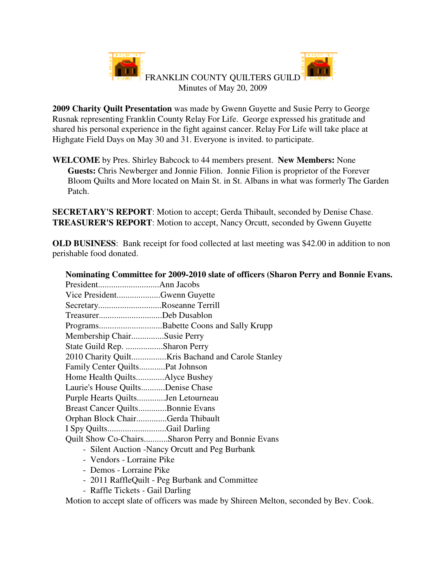

**2009 Charity Quilt Presentation** was made by Gwenn Guyette and Susie Perry to George Rusnak representing Franklin County Relay For Life. George expressed his gratitude and shared his personal experience in the fight against cancer. Relay For Life will take place at Highgate Field Days on May 30 and 31. Everyone is invited. to participate.

**WELCOME** by Pres. Shirley Babcock to 44 members present. **New Members:** None **Guests:** Chris Newberger and Jonnie Filion. Jonnie Filion is proprietor of the Forever Bloom Quilts and More located on Main St. in St. Albans in what was formerly The Garden Patch.

**SECRETARY'S REPORT**: Motion to accept; Gerda Thibault, seconded by Denise Chase. **TREASURER'S REPORT**: Motion to accept, Nancy Orcutt, seconded by Gwenn Guyette

**OLD BUSINESS**: Bank receipt for food collected at last meeting was \$42.00 in addition to non perishable food donated.

| Nominating Committee for 2009-2010 slate of officers (Sharon Perry and Bonnie Evans. |                                                   |
|--------------------------------------------------------------------------------------|---------------------------------------------------|
|                                                                                      |                                                   |
| Vice PresidentGwenn Guyette                                                          |                                                   |
| SecretaryRoseanne Terrill                                                            |                                                   |
| TreasurerDeb Dusablon                                                                |                                                   |
|                                                                                      |                                                   |
| Membership ChairSusie Perry                                                          |                                                   |
| State Guild Rep. Sharon Perry                                                        |                                                   |
|                                                                                      |                                                   |
| Family Center QuiltsPat Johnson                                                      |                                                   |
| Home Health QuiltsAlyce Bushey                                                       |                                                   |
| Laurie's House QuiltsDenise Chase                                                    |                                                   |
| Purple Hearts QuiltsJen Letourneau                                                   |                                                   |
| Breast Cancer QuiltsBonnie Evans                                                     |                                                   |
| Orphan Block ChairGerda Thibault                                                     |                                                   |
| I Spy QuiltsGail Darling                                                             |                                                   |
|                                                                                      | Quilt Show Co-ChairsSharon Perry and Bonnie Evans |
| - Silent Auction - Nancy Orcutt and Peg Burbank                                      |                                                   |
| - Vendors - Lorraine Pike                                                            |                                                   |
| - Demos - Lorraine Pike                                                              |                                                   |

- 2011 RaffleQuilt Peg Burbank and Committee
- Raffle Tickets Gail Darling

Motion to accept slate of officers was made by Shireen Melton, seconded by Bev. Cook.